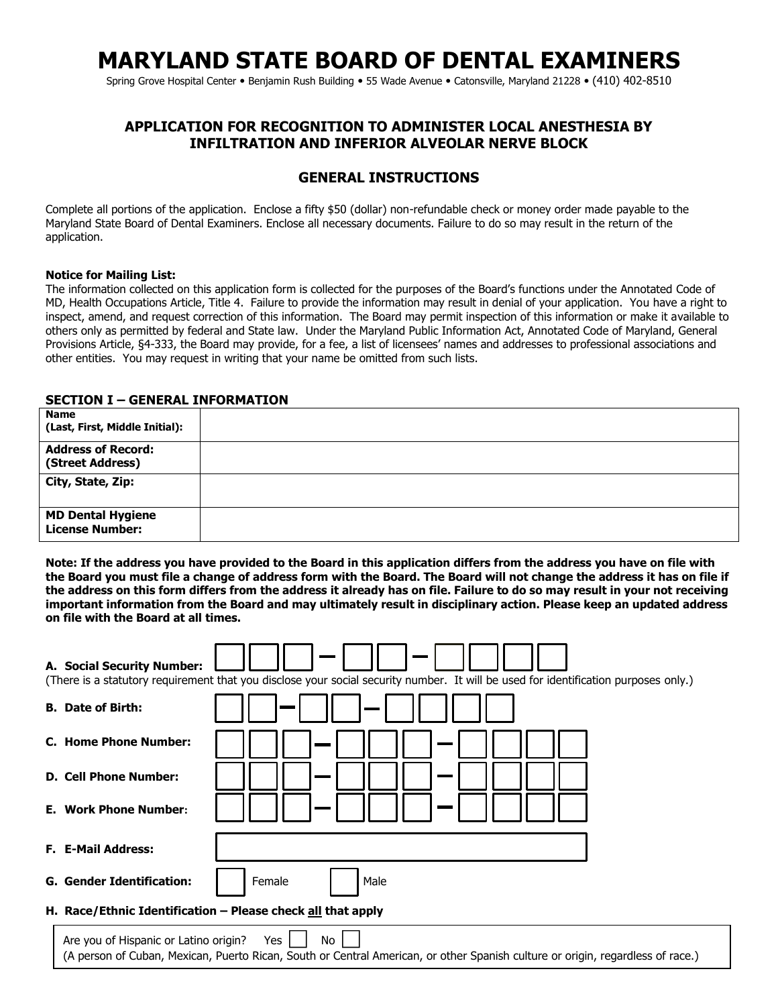# **MARYLAND STATE BOARD OF DENTAL EXAMINERS**

Spring Grove Hospital Center • Benjamin Rush Building • 55 Wade Avenue • Catonsville, Maryland 21228 • (410) 402-8510

#### **APPLICATION FOR RECOGNITION TO ADMINISTER LOCAL ANESTHESIA BY INFILTRATION AND INFERIOR ALVEOLAR NERVE BLOCK**

#### **GENERAL INSTRUCTIONS**

Complete all portions of the application. Enclose a fifty \$50 (dollar) non-refundable check or money order made payable to the Maryland State Board of Dental Examiners. Enclose all necessary documents. Failure to do so may result in the return of the application.

#### **Notice for Mailing List:**

The information collected on this application form is collected for the purposes of the Board's functions under the Annotated Code of MD, Health Occupations Article, Title 4. Failure to provide the information may result in denial of your application. You have a right to inspect, amend, and request correction of this information. The Board may permit inspection of this information or make it available to others only as permitted by federal and State law. Under the Maryland Public Information Act, Annotated Code of Maryland, General Provisions Article, §4-333, the Board may provide, for a fee, a list of licensees' names and addresses to professional associations and other entities. You may request in writing that your name be omitted from such lists.

#### **SECTION I – GENERAL INFORMATION**

| <b>Name</b><br>(Last, First, Middle Initial):      |  |
|----------------------------------------------------|--|
| <b>Address of Record:</b><br>(Street Address)      |  |
| City, State, Zip:                                  |  |
| <b>MD Dental Hygiene</b><br><b>License Number:</b> |  |

**Note: If the address you have provided to the Board in this application differs from the address you have on file with the Board you must file a change of address form with the Board. The Board will not change the address it has on file if the address on this form differs from the address it already has on file. Failure to do so may result in your not receiving important information from the Board and may ultimately result in disciplinary action. Please keep an updated address on file with the Board at all times.** 

| A. Social Security Number:                                                                                                                                                           | (There is a statutory requirement that you disclose your social security number. It will be used for identification purposes only.) |  |
|--------------------------------------------------------------------------------------------------------------------------------------------------------------------------------------|-------------------------------------------------------------------------------------------------------------------------------------|--|
| <b>B.</b> Date of Birth:                                                                                                                                                             |                                                                                                                                     |  |
| C. Home Phone Number:                                                                                                                                                                |                                                                                                                                     |  |
| <b>D. Cell Phone Number:</b>                                                                                                                                                         |                                                                                                                                     |  |
| <b>E. Work Phone Number:</b>                                                                                                                                                         |                                                                                                                                     |  |
| <b>F. E-Mail Address:</b>                                                                                                                                                            |                                                                                                                                     |  |
| <b>G. Gender Identification:</b>                                                                                                                                                     | Female<br>Male                                                                                                                      |  |
| H. Race/Ethnic Identification - Please check all that apply                                                                                                                          |                                                                                                                                     |  |
| No<br>Are you of Hispanic or Latino origin?<br>Yes<br>(A person of Cuban, Mexican, Puerto Rican, South or Central American, or other Spanish culture or origin, regardless of race.) |                                                                                                                                     |  |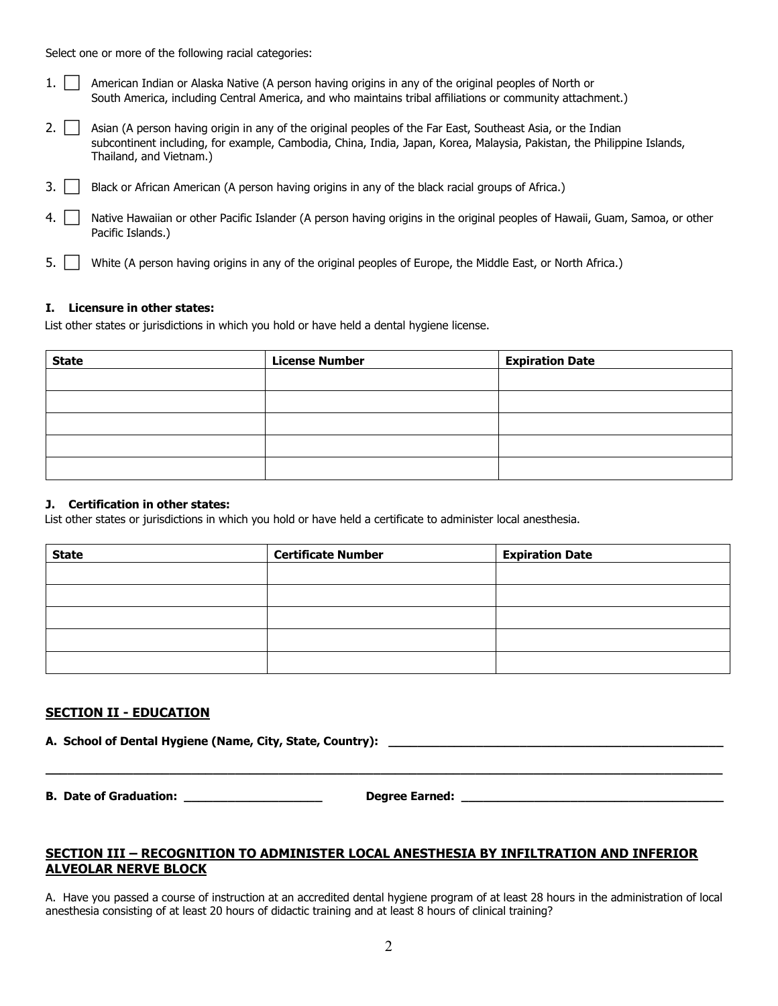Select one or more of the following racial categories:

| 1. American Indian or Alaska Native (A person having origins in any of the original peoples of North or   |
|-----------------------------------------------------------------------------------------------------------|
| South America, including Central America, and who maintains tribal affiliations or community attachment.) |

| 2. $\Box$ Asian (A person having origin in any of the original peoples of the Far East, Southeast Asia, or the Indian  |
|------------------------------------------------------------------------------------------------------------------------|
| subcontinent including, for example, Cambodia, China, India, Japan, Korea, Malaysia, Pakistan, the Philippine Islands, |
| Thailand, and Vietnam.)                                                                                                |

- 3. **Black or African American (A person having origins in any of the black racial groups of Africa.)**
- 4. Native Hawaiian or other Pacific Islander (A person having origins in the original peoples of Hawaii, Guam, Samoa, or other Pacific Islands.)

5. White (A person having origins in any of the original peoples of Europe, the Middle East, or North Africa.)

#### **I. Licensure in other states:**

List other states or jurisdictions in which you hold or have held a dental hygiene license.

| <b>State</b> | <b>License Number</b> | <b>Expiration Date</b> |
|--------------|-----------------------|------------------------|
|              |                       |                        |
|              |                       |                        |
|              |                       |                        |
|              |                       |                        |
|              |                       |                        |

#### **J. Certification in other states:**

List other states or jurisdictions in which you hold or have held a certificate to administer local anesthesia.

| <b>State</b> | <b>Certificate Number</b> | <b>Expiration Date</b> |
|--------------|---------------------------|------------------------|
|              |                           |                        |
|              |                           |                        |
|              |                           |                        |
|              |                           |                        |
|              |                           |                        |

#### **SECTION II - EDUCATION**

**A. School of Dental Hygiene (Name, City, State, Country): \_\_\_\_\_\_\_\_\_\_\_\_\_\_\_\_\_\_\_\_\_\_\_\_\_\_\_\_\_\_\_\_\_\_\_\_\_\_\_\_\_\_\_\_\_\_**

**B. Date of Graduation: \_\_\_\_\_\_\_\_\_\_\_\_\_\_\_\_\_\_\_ Degree Earned: \_\_\_\_\_\_\_\_\_\_\_\_\_\_\_\_\_\_\_\_\_\_\_\_\_\_\_\_\_\_\_\_\_\_\_\_**

#### **SECTION III – RECOGNITION TO ADMINISTER LOCAL ANESTHESIA BY INFILTRATION AND INFERIOR ALVEOLAR NERVE BLOCK**

A. Have you passed a course of instruction at an accredited dental hygiene program of at least 28 hours in the administration of local anesthesia consisting of at least 20 hours of didactic training and at least 8 hours of clinical training?

**\_\_\_\_\_\_\_\_\_\_\_\_\_\_\_\_\_\_\_\_\_\_\_\_\_\_\_\_\_\_\_\_\_\_\_\_\_\_\_\_\_\_\_\_\_\_\_\_\_\_\_\_\_\_\_\_\_\_\_\_\_\_\_\_\_\_\_\_\_\_\_\_\_\_\_\_\_\_\_\_\_\_\_\_\_\_\_\_\_\_\_\_\_**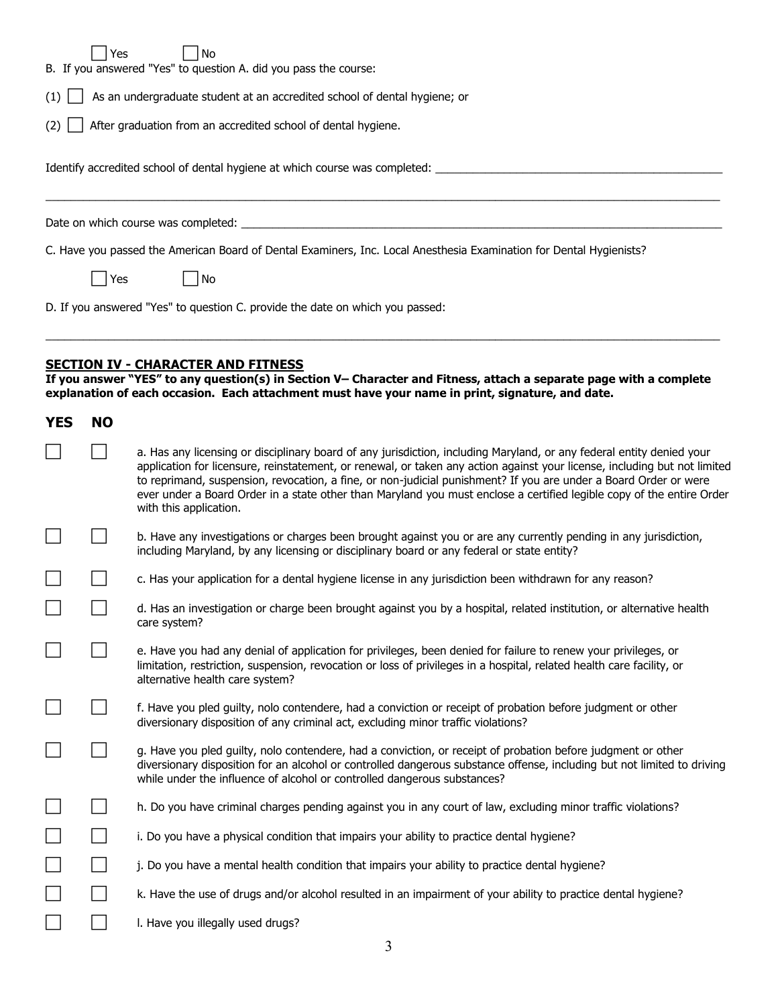| Yes<br>No<br>B. If you answered "Yes" to question A. did you pass the course:<br>As an undergraduate student at an accredited school of dental hygiene; or<br>(1)<br>After graduation from an accredited school of dental hygiene.<br>(2)<br>Identify accredited school of dental hygiene at which course was completed: _____ |           |                                                                                                                                                                                                                                                                                                                                                                                                                                                                                                                           |  |
|--------------------------------------------------------------------------------------------------------------------------------------------------------------------------------------------------------------------------------------------------------------------------------------------------------------------------------|-----------|---------------------------------------------------------------------------------------------------------------------------------------------------------------------------------------------------------------------------------------------------------------------------------------------------------------------------------------------------------------------------------------------------------------------------------------------------------------------------------------------------------------------------|--|
|                                                                                                                                                                                                                                                                                                                                |           | Date on which course was completed:                                                                                                                                                                                                                                                                                                                                                                                                                                                                                       |  |
|                                                                                                                                                                                                                                                                                                                                |           | C. Have you passed the American Board of Dental Examiners, Inc. Local Anesthesia Examination for Dental Hygienists?                                                                                                                                                                                                                                                                                                                                                                                                       |  |
|                                                                                                                                                                                                                                                                                                                                | Yes       | No                                                                                                                                                                                                                                                                                                                                                                                                                                                                                                                        |  |
|                                                                                                                                                                                                                                                                                                                                |           | D. If you answered "Yes" to question C. provide the date on which you passed:                                                                                                                                                                                                                                                                                                                                                                                                                                             |  |
| <b>YES</b>                                                                                                                                                                                                                                                                                                                     | <b>NO</b> | <b>SECTION IV - CHARACTER AND FITNESS</b><br>If you answer "YES" to any question(s) in Section V- Character and Fitness, attach a separate page with a complete<br>explanation of each occasion. Each attachment must have your name in print, signature, and date.                                                                                                                                                                                                                                                       |  |
|                                                                                                                                                                                                                                                                                                                                |           | a. Has any licensing or disciplinary board of any jurisdiction, including Maryland, or any federal entity denied your<br>application for licensure, reinstatement, or renewal, or taken any action against your license, including but not limited<br>to reprimand, suspension, revocation, a fine, or non-judicial punishment? If you are under a Board Order or were<br>ever under a Board Order in a state other than Maryland you must enclose a certified legible copy of the entire Order<br>with this application. |  |
|                                                                                                                                                                                                                                                                                                                                |           | b. Have any investigations or charges been brought against you or are any currently pending in any jurisdiction,<br>including Maryland, by any licensing or disciplinary board or any federal or state entity?                                                                                                                                                                                                                                                                                                            |  |
|                                                                                                                                                                                                                                                                                                                                |           | c. Has your application for a dental hygiene license in any jurisdiction been withdrawn for any reason?                                                                                                                                                                                                                                                                                                                                                                                                                   |  |
|                                                                                                                                                                                                                                                                                                                                |           | d. Has an investigation or charge been brought against you by a hospital, related institution, or alternative health<br>care system?                                                                                                                                                                                                                                                                                                                                                                                      |  |
|                                                                                                                                                                                                                                                                                                                                |           | e. Have you had any denial of application for privileges, been denied for failure to renew your privileges, or<br>limitation, restriction, suspension, revocation or loss of privileges in a hospital, related health care facility, or<br>alternative health care system?                                                                                                                                                                                                                                                |  |
|                                                                                                                                                                                                                                                                                                                                |           | f. Have you pled guilty, nolo contendere, had a conviction or receipt of probation before judgment or other<br>diversionary disposition of any criminal act, excluding minor traffic violations?                                                                                                                                                                                                                                                                                                                          |  |
|                                                                                                                                                                                                                                                                                                                                |           | g. Have you pled guilty, nolo contendere, had a conviction, or receipt of probation before judgment or other<br>diversionary disposition for an alcohol or controlled dangerous substance offense, including but not limited to driving<br>while under the influence of alcohol or controlled dangerous substances?                                                                                                                                                                                                       |  |
|                                                                                                                                                                                                                                                                                                                                |           | h. Do you have criminal charges pending against you in any court of law, excluding minor traffic violations?                                                                                                                                                                                                                                                                                                                                                                                                              |  |
|                                                                                                                                                                                                                                                                                                                                |           | i. Do you have a physical condition that impairs your ability to practice dental hygiene?                                                                                                                                                                                                                                                                                                                                                                                                                                 |  |
|                                                                                                                                                                                                                                                                                                                                |           | j. Do you have a mental health condition that impairs your ability to practice dental hygiene?                                                                                                                                                                                                                                                                                                                                                                                                                            |  |

- **Example 2** K. Have the use of drugs and/or alcohol resulted in an impairment of your ability to practice dental hygiene?
- **l.** Have you illegally used drugs?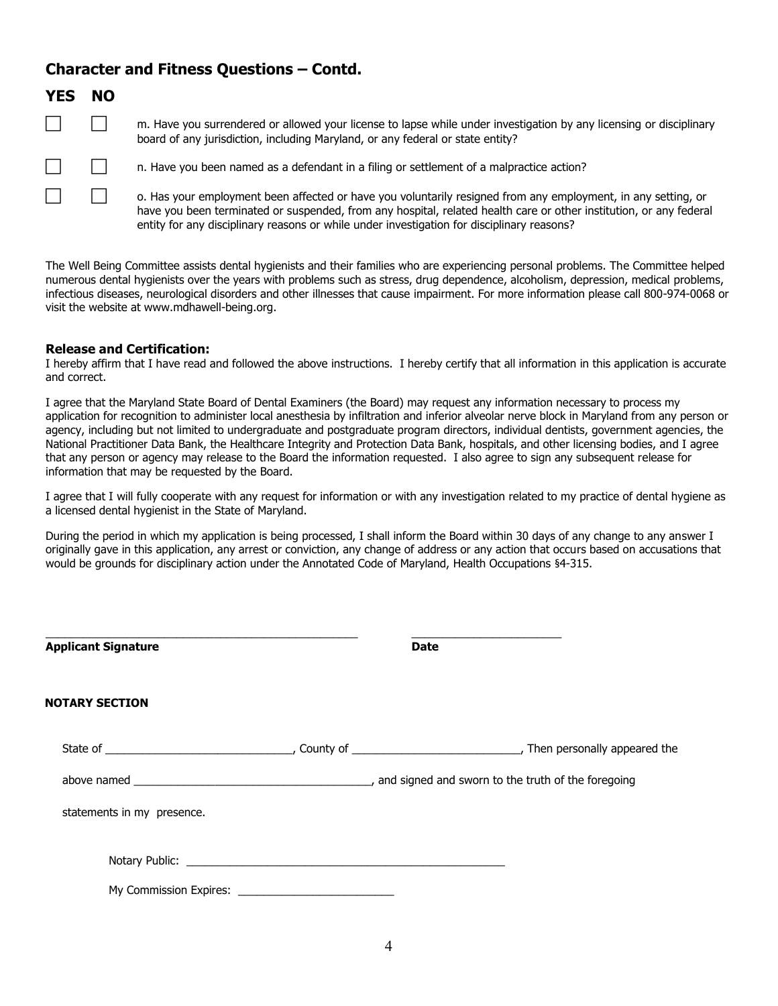### **Character and Fitness Questions – Contd.**

| <b>YES</b>   | <b>NO</b>    |  |
|--------------|--------------|--|
| $\mathbf{I}$ | $\mathbf{L}$ |  |
| $\mathsf{I}$ | L            |  |
|              |              |  |

 m. Have you surrendered or allowed your license to lapse while under investigation by any licensing or disciplinary board of any jurisdiction, including Maryland, or any federal or state entity?

n. Have you been named as a defendant in a filing or settlement of a malpractice action?

 o. Has your employment been affected or have you voluntarily resigned from any employment, in any setting, or have you been terminated or suspended, from any hospital, related health care or other institution, or any federal entity for any disciplinary reasons or while under investigation for disciplinary reasons?

The Well Being Committee assists dental hygienists and their families who are experiencing personal problems. The Committee helped numerous dental hygienists over the years with problems such as stress, drug dependence, alcoholism, depression, medical problems, infectious diseases, neurological disorders and other illnesses that cause impairment. For more information please call 800-974-0068 or visit the website at www.mdhawell-being.org.

#### **Release and Certification:**

I hereby affirm that I have read and followed the above instructions. I hereby certify that all information in this application is accurate and correct.

I agree that the Maryland State Board of Dental Examiners (the Board) may request any information necessary to process my application for recognition to administer local anesthesia by infiltration and inferior alveolar nerve block in Maryland from any person or agency, including but not limited to undergraduate and postgraduate program directors, individual dentists, government agencies, the National Practitioner Data Bank, the Healthcare Integrity and Protection Data Bank, hospitals, and other licensing bodies, and I agree that any person or agency may release to the Board the information requested. I also agree to sign any subsequent release for information that may be requested by the Board.

I agree that I will fully cooperate with any request for information or with any investigation related to my practice of dental hygiene as a licensed dental hygienist in the State of Maryland.

During the period in which my application is being processed, I shall inform the Board within 30 days of any change to any answer I originally gave in this application, any arrest or conviction, any change of address or any action that occurs based on accusations that would be grounds for disciplinary action under the Annotated Code of Maryland, Health Occupations §4-315.

| <b>Applicant Signature</b> | <b>Date</b> |  |
|----------------------------|-------------|--|
| <b>NOTARY SECTION</b>      |             |  |
|                            |             |  |
|                            |             |  |
| statements in my presence. |             |  |
|                            |             |  |
| My Commission Expires:     |             |  |